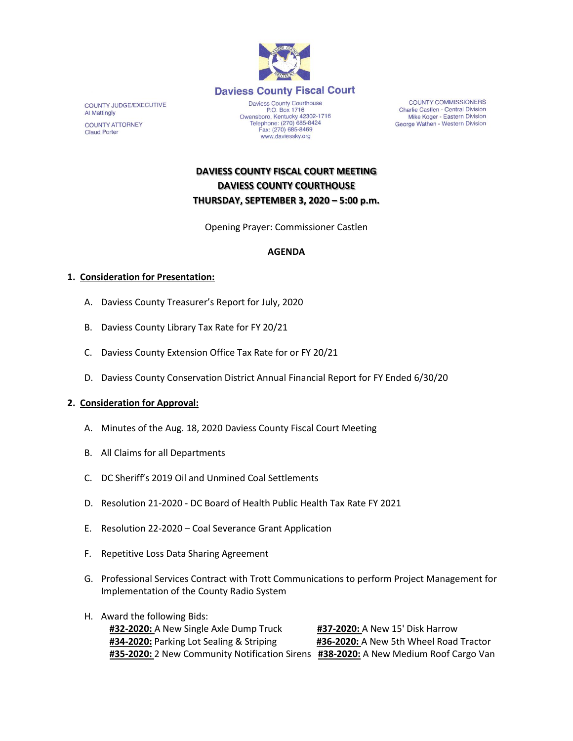

**COUNTY JUDGE/EXECUTIVE Al Mattingly COUNTY ATTORNEY Claud Porter** 

Daviess County Courthouse<br>P.O. Box 1716 Owensboro, Kentucky 42302-1716<br>Telephone: (270) 685-8424<br>Fax: (270) 685-8469 www.daviessky.org

**COUNTY COMMISSIONERS** Charlie Castlen - Central Division Mike Koger - Eastern Division George Wathen - Western Division

# **DAVIESS COUNTY FISCAL COURT MEETING DAVIESS COUNTY COURTHOUSE THURSDAY, SEPTEMBER 3, 2020 – 5:00 p.m.**

Opening Prayer: Commissioner Castlen

## **AGENDA**

### **1. Consideration for Presentation:**

- A. Daviess County Treasurer's Report for July, 2020
- B. Daviess County Library Tax Rate for FY 20/21
- C. Daviess County Extension Office Tax Rate for or FY 20/21
- D. Daviess County Conservation District Annual Financial Report for FY Ended 6/30/20

#### **2. Consideration for Approval:**

- A. Minutes of the Aug. 18, 2020 Daviess County Fiscal Court Meeting
- B. All Claims for all Departments
- C. DC Sheriff's 2019 Oil and Unmined Coal Settlements
- D. Resolution 21-2020 DC Board of Health Public Health Tax Rate FY 2021
- E. Resolution 22-2020 Coal Severance Grant Application
- F. Repetitive Loss Data Sharing Agreement
- G. Professional Services Contract with Trott Communications to perform Project Management for Implementation of the County Radio System
- H. Award the following Bids:

**#32-2020:** A New Single Axle Dump Truck **#37-2020:** A New 15' Disk Harrow **#34-2020:** Parking Lot Sealing & Striping **#36-2020:** A New 5th Wheel Road Tractor **#35-2020:** 2 New Community Notification Sirens **#38-2020:** A New Medium Roof Cargo Van